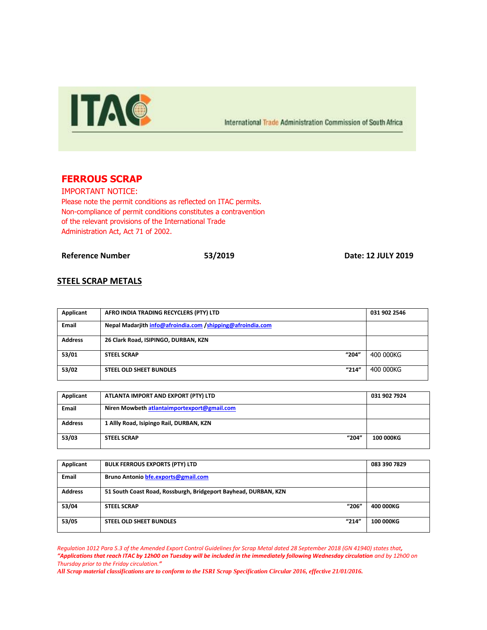

International Trade Administration Commission of South Africa

# **FERROUS SCRAP**

IMPORTANT NOTICE: Please note the permit conditions as reflected on ITAC permits. Non-compliance of permit conditions constitutes a contravention of the relevant provisions of the International Trade Administration Act, Act 71 of 2002.

**Reference Number 53/2019 Date: 12 JULY 2019**

#### **STEEL SCRAP METALS**

| Applicant      | AFRO INDIA TRADING RECYCLERS (PTY) LTD                     |       | 031 902 2546 |
|----------------|------------------------------------------------------------|-------|--------------|
| Email          | Nepal Madarjith info@afroindia.com /shipping@afroindia.com |       |              |
| <b>Address</b> | 26 Clark Road, ISIPINGO, DURBAN, KZN                       |       |              |
| 53/01          | <b>STEEL SCRAP</b>                                         | "204" | 400 000KG    |
| 53/02          | <b>STEEL OLD SHEET BUNDLES</b>                             | "214" | 400 000KG    |

| Applicant      | ATLANTA IMPORT AND EXPORT (PTY) LTD         | 031 902 7924     |
|----------------|---------------------------------------------|------------------|
| <b>Email</b>   | Niren Mowbeth atlantaimportexport@gmail.com |                  |
| <b>Address</b> | 1 Allly Road, Isipingo Rail, DURBAN, KZN    |                  |
| 53/03          | "204"<br><b>STEEL SCRAP</b>                 | <b>100 000KG</b> |

| Applicant      | <b>BULK FERROUS EXPORTS (PTY) LTD</b>                           | 083 390 7829     |
|----------------|-----------------------------------------------------------------|------------------|
| <b>Email</b>   | Bruno Antonio bfe.exports@gmail.com                             |                  |
| <b>Address</b> | 51 South Coast Road, Rossburgh, Bridgeport Bayhead, DURBAN, KZN |                  |
| 53/04          | "206"<br><b>STEEL SCRAP</b>                                     | 400 000KG        |
| 53/05          | "214"<br><b>STEEL OLD SHEET BUNDLES</b>                         | <b>100 000KG</b> |

*Regulation 1012 Para 5.3 of the Amended Export Control Guidelines for Scrap Metal dated 28 September 2018 (GN 41940) states that, "Applications that reach ITAC by 12h00 on Tuesday will be included in the immediately following Wednesday circulation and by 12h00 on Thursday prior to the Friday circulation."*

*All Scrap material classifications are to conform to the ISRI Scrap Specification Circular 2016, effective 21/01/2016.*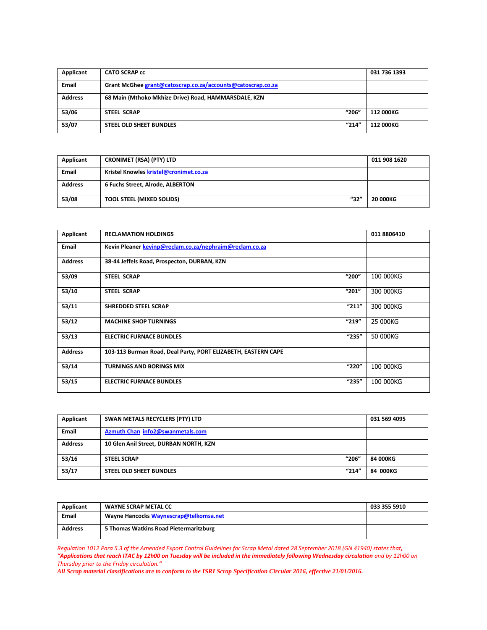| Applicant      | <b>CATO SCRAP cc</b>                                        | 031 736 1393 |
|----------------|-------------------------------------------------------------|--------------|
| <b>Email</b>   | Grant McGhee grant@catoscrap.co.za/accounts@catoscrap.co.za |              |
| <b>Address</b> | 68 Main (Mthoko Mkhize Drive) Road, HAMMARSDALE, KZN        |              |
| 53/06          | "206"<br><b>STEEL SCRAP</b>                                 | 112 000KG    |
| 53/07          | "214"<br>STEEL OLD SHEET BUNDLES                            | 112 000KG    |

| Applicant      | <b>CRONIMET (RSA) (PTY) LTD</b>          | 011 908 1620 |
|----------------|------------------------------------------|--------------|
| <b>Email</b>   | Kristel Knowles kristel@cronimet.co.za   |              |
| <b>Address</b> | 6 Fuchs Street, Alrode, ALBERTON         |              |
| 53/08          | "32"<br><b>TOOL STEEL (MIXED SOLIDS)</b> | 20 000KG     |

| Applicant      | <b>RECLAMATION HOLDINGS</b>                                   | 011 8806410 |
|----------------|---------------------------------------------------------------|-------------|
| Email          | Kevin Pleaner kevinp@reclam.co.za/nephraim@reclam.co.za       |             |
| <b>Address</b> | 38-44 Jeffels Road, Prospecton, DURBAN, KZN                   |             |
| 53/09          | "200"<br><b>STEEL SCRAP</b>                                   | 100 000KG   |
| 53/10          | "201"<br><b>STEEL SCRAP</b>                                   | 300 000KG   |
| 53/11          | "211"<br><b>SHREDDED STEEL SCRAP</b>                          | 300 000KG   |
| 53/12          | "219"<br><b>MACHINE SHOP TURNINGS</b>                         | 25 000KG    |
| 53/13          | "235"<br><b>ELECTRIC FURNACE BUNDLES</b>                      | 50 000KG    |
| <b>Address</b> | 103-113 Burman Road, Deal Party, PORT ELIZABETH, EASTERN CAPE |             |
| 53/14          | "220"<br><b>TURNINGS AND BORINGS MIX</b>                      | 100 000KG   |
| 53/15          | "235"<br><b>ELECTRIC FURNACE BUNDLES</b>                      | 100 000KG   |

| Applicant      | SWAN METALS RECYCLERS (PTY) LTD         | 031 569 4095 |
|----------------|-----------------------------------------|--------------|
| <b>Email</b>   | Azmuth Chan info2@swanmetals.com        |              |
| <b>Address</b> | 10 Glen Anil Street, DURBAN NORTH, KZN  |              |
| 53/16          | "206"<br><b>STEEL SCRAP</b>             | 84 000KG     |
| 53/17          | "214"<br><b>STEEL OLD SHEET BUNDLES</b> | 84 000KG     |

| Applicant      | <b>WAYNE SCRAP METAL CC</b>            | 033 355 5910 |
|----------------|----------------------------------------|--------------|
| <b>Email</b>   | Wayne Hancocks Waynescrap@telkomsa.net |              |
| <b>Address</b> | 5 Thomas Watkins Road Pietermaritzburg |              |

*Regulation 1012 Para 5.3 of the Amended Export Control Guidelines for Scrap Metal dated 28 September 2018 (GN 41940) states that, "Applications that reach ITAC by 12h00 on Tuesday will be included in the immediately following Wednesday circulation and by 12h00 on Thursday prior to the Friday circulation."*

*All Scrap material classifications are to conform to the ISRI Scrap Specification Circular 2016, effective 21/01/2016.*